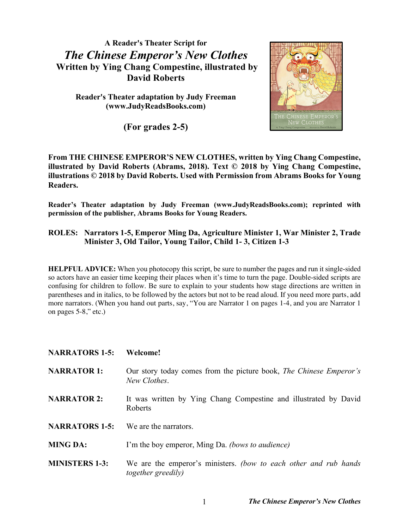**A Reader's Theater Script for** *The Chinese Emperor's New Clothes* **Written by Ying Chang Compestine, illustrated by David Roberts**

**Reader's Theater adaptation by Judy Freeman (www.JudyReadsBooks.com)**

**(For grades 2-5)**



**From THE CHINESE EMPEROR'S NEW CLOTHES, written by Ying Chang Compestine, illustrated by David Roberts (Abrams, 2018). Text © 2018 by Ying Chang Compestine, illustrations © 2018 by David Roberts. Used with Permission from Abrams Books for Young Readers.**

**Reader's Theater adaptation by Judy Freeman (www.JudyReadsBooks.com); reprinted with permission of the publisher, Abrams Books for Young Readers.**

## **ROLES: Narrators 1-5, Emperor Ming Da, Agriculture Minister 1, War Minister 2, Trade Minister 3, Old Tailor, Young Tailor, Child 1- 3, Citizen 1-3**

**HELPFUL ADVICE:** When you photocopy this script, be sure to number the pages and run it single-sided so actors have an easier time keeping their places when it's time to turn the page. Double-sided scripts are confusing for children to follow. Be sure to explain to your students how stage directions are written in parentheses and in italics, to be followed by the actors but not to be read aloud. If you need more parts, add more narrators. (When you hand out parts, say, "You are Narrator 1 on pages 1-4, and you are Narrator 1 on pages 5-8," etc.)

| <b>NARRATORS 1-5:</b> | Welcome!                                                                                      |
|-----------------------|-----------------------------------------------------------------------------------------------|
| <b>NARRATOR 1:</b>    | Our story today comes from the picture book, The Chinese Emperor's<br>New Clothes.            |
| <b>NARRATOR 2:</b>    | It was written by Ying Chang Compestine and illustrated by David<br>Roberts                   |
| <b>NARRATORS 1-5:</b> | We are the narrators.                                                                         |
| <b>MING DA:</b>       | I'm the boy emperor, Ming Da. <i>(bows to audience)</i>                                       |
| <b>MINISTERS 1-3:</b> | We are the emperor's ministers. (bow to each other and rub hands<br><i>together greedily)</i> |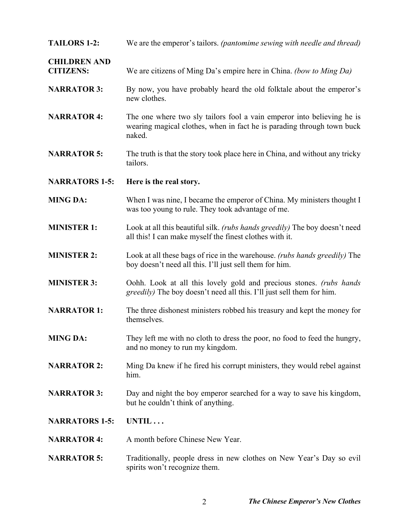**TAILORS 1-2:** We are the emperor's tailors. *(pantomime sewing with needle and thread)*

**CHILDREN AND CITIZENS:** We are citizens of Ming Da's empire here in China. *(bow to Ming Da)*

- **NARRATOR 3:** By now, you have probably heard the old folktale about the emperor's new clothes.
- **NARRATOR 4:** The one where two sly tailors fool a vain emperor into believing he is wearing magical clothes, when in fact he is parading through town buck naked.
- **NARRATOR 5:** The truth is that the story took place here in China, and without any tricky tailors.
- **NARRATORS 1-5: Here is the real story.**
- **MING DA:** When I was nine, I became the emperor of China. My ministers thought I was too young to rule. They took advantage of me.
- **MINISTER 1:** Look at all this beautiful silk. *(rubs hands greedily)* The boy doesn't need all this! I can make myself the finest clothes with it.
- **MINISTER 2:** Look at all these bags of rice in the warehouse. *(rubs hands greedily)* The boy doesn't need all this. I'll just sell them for him.
- **MINISTER 3:** Oohh. Look at all this lovely gold and precious stones. *(rubs hands greedily)* The boy doesn't need all this. I'll just sell them for him.
- **NARRATOR 1:** The three dishonest ministers robbed his treasury and kept the money for themselves.
- **MING DA:** They left me with no cloth to dress the poor, no food to feed the hungry, and no money to run my kingdom.
- **NARRATOR 2:** Ming Da knew if he fired his corrupt ministers, they would rebel against him.
- **NARRATOR 3:** Day and night the boy emperor searched for a way to save his kingdom, but he couldn't think of anything.
- **NARRATORS 1-5: UNTIL . . .**
- **NARRATOR 4:** A month before Chinese New Year.
- **NARRATOR 5:** Traditionally, people dress in new clothes on New Year's Day so evil spirits won't recognize them.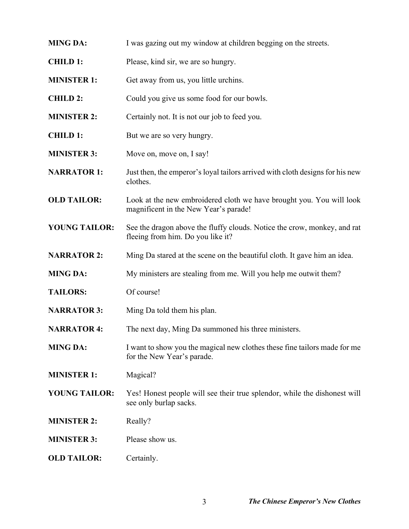**MING DA:** I was gazing out my window at children begging on the streets. **CHILD 1:** Please, kind sir, we are so hungry. **MINISTER 1:** Get away from us, you little urchins. **CHILD 2:** Could you give us some food for our bowls. **MINISTER 2:** Certainly not. It is not our job to feed you. **CHILD 1:** But we are so very hungry. **MINISTER 3:** Move on, move on, I say! **NARRATOR 1:** Just then, the emperor's loyal tailors arrived with cloth designs for his new clothes. **OLD TAILOR:** Look at the new embroidered cloth we have brought you. You will look magnificent in the New Year's parade! **YOUNG TAILOR:** See the dragon above the fluffy clouds. Notice the crow, monkey, and rat fleeing from him. Do you like it? **NARRATOR 2:** Ming Da stared at the scene on the beautiful cloth. It gave him an idea. **MING DA:** My ministers are stealing from me. Will you help me outwit them? **TAILORS:** Of course! **NARRATOR 3:** Ming Da told them his plan. **NARRATOR 4:** The next day, Ming Da summoned his three ministers. **MING DA:** I want to show you the magical new clothes these fine tailors made for me for the New Year's parade. **MINISTER 1:** Magical? **YOUNG TAILOR:** Yes! Honest people will see their true splendor, while the dishonest will see only burlap sacks. **MINISTER 2:** Really? **MINISTER 3:** Please show us. **OLD TAILOR:** Certainly.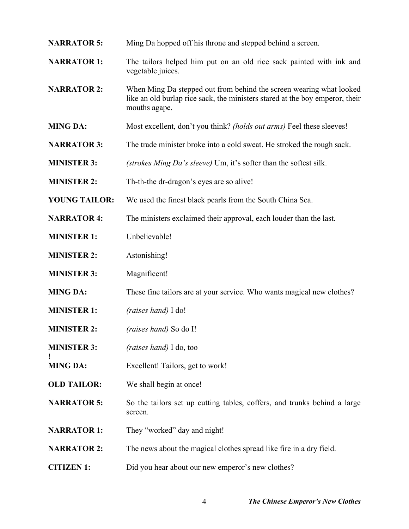- **NARRATOR 5:** Ming Da hopped off his throne and stepped behind a screen.
- **NARRATOR 1:** The tailors helped him put on an old rice sack painted with ink and vegetable juices.
- **NARRATOR 2:** When Ming Da stepped out from behind the screen wearing what looked like an old burlap rice sack, the ministers stared at the boy emperor, their mouths agape.
- **MING DA:** Most excellent, don't you think? *(holds out arms)* Feel these sleeves!
- **NARRATOR 3:** The trade minister broke into a cold sweat. He stroked the rough sack.
- **MINISTER 3:** *(strokes Ming Da's sleeve)* Um, it's softer than the softest silk.
- **MINISTER 2:** Th-th-the dr-dragon's eyes are so alive!
- **YOUNG TAILOR:** We used the finest black pearls from the South China Sea.
- **NARRATOR 4:** The ministers exclaimed their approval, each louder than the last.
- **MINISTER 1:** Unbelievable!
- **MINISTER 2:** Astonishing!
- **MINISTER 3:** Magnificent!

!

- **MING DA:** These fine tailors are at your service. Who wants magical new clothes?
- **MINISTER 1:** *(raises hand)* I do!
- **MINISTER 2:** *(raises hand)* So do I!
- **MINISTER 3:** *(raises hand)* I do, too
- **MING DA:** Excellent! Tailors, get to work!
- **OLD TAILOR:** We shall begin at once!
- **NARRATOR 5:** So the tailors set up cutting tables, coffers, and trunks behind a large screen.
- **NARRATOR 1:** They "worked" day and night!
- **NARRATOR 2:** The news about the magical clothes spread like fire in a dry field.
- **CITIZEN 1:** Did you hear about our new emperor's new clothes?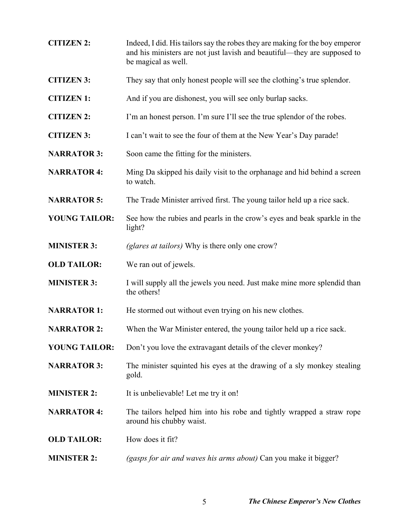| <b>CITIZEN 2:</b>    | Indeed, I did. His tailors say the robes they are making for the boy emperor<br>and his ministers are not just lavish and beautiful—they are supposed to<br>be magical as well. |
|----------------------|---------------------------------------------------------------------------------------------------------------------------------------------------------------------------------|
| <b>CITIZEN 3:</b>    | They say that only honest people will see the clothing's true splendor.                                                                                                         |
| <b>CITIZEN 1:</b>    | And if you are dishonest, you will see only burlap sacks.                                                                                                                       |
| <b>CITIZEN 2:</b>    | I'm an honest person. I'm sure I'll see the true splendor of the robes.                                                                                                         |
| <b>CITIZEN 3:</b>    | I can't wait to see the four of them at the New Year's Day parade!                                                                                                              |
| <b>NARRATOR 3:</b>   | Soon came the fitting for the ministers.                                                                                                                                        |
| <b>NARRATOR 4:</b>   | Ming Da skipped his daily visit to the orphanage and hid behind a screen<br>to watch.                                                                                           |
| <b>NARRATOR 5:</b>   | The Trade Minister arrived first. The young tailor held up a rice sack.                                                                                                         |
| <b>YOUNG TAILOR:</b> | See how the rubies and pearls in the crow's eyes and beak sparkle in the<br>light?                                                                                              |
| <b>MINISTER 3:</b>   | (glares at tailors) Why is there only one crow?                                                                                                                                 |
| <b>OLD TAILOR:</b>   | We ran out of jewels.                                                                                                                                                           |
| <b>MINISTER 3:</b>   | I will supply all the jewels you need. Just make mine more splendid than<br>the others!                                                                                         |
| <b>NARRATOR 1:</b>   | He stormed out without even trying on his new clothes.                                                                                                                          |
| <b>NARRATOR 2:</b>   | When the War Minister entered, the young tailor held up a rice sack.                                                                                                            |
| <b>YOUNG TAILOR:</b> | Don't you love the extravagant details of the clever monkey?                                                                                                                    |
| <b>NARRATOR 3:</b>   | The minister squinted his eyes at the drawing of a sly monkey stealing<br>gold.                                                                                                 |
| <b>MINISTER 2:</b>   | It is unbelievable! Let me try it on!                                                                                                                                           |
| <b>NARRATOR 4:</b>   | The tailors helped him into his robe and tightly wrapped a straw rope<br>around his chubby waist.                                                                               |
| <b>OLD TAILOR:</b>   | How does it fit?                                                                                                                                                                |
| <b>MINISTER 2:</b>   | (gasps for air and waves his arms about) Can you make it bigger?                                                                                                                |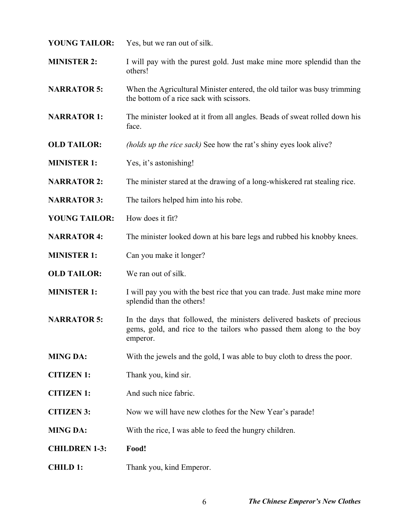- **YOUNG TAILOR:** Yes, but we ran out of silk.
- **MINISTER 2:** I will pay with the purest gold. Just make mine more splendid than the others!
- **NARRATOR 5:** When the Agricultural Minister entered, the old tailor was busy trimming the bottom of a rice sack with scissors.
- **NARRATOR 1:** The minister looked at it from all angles. Beads of sweat rolled down his face.
- **OLD TAILOR:** *(holds up the rice sack)* See how the rat's shiny eyes look alive?
- **MINISTER 1:** Yes, it's astonishing!
- **NARRATOR 2:** The minister stared at the drawing of a long-whiskered rat stealing rice.
- **NARRATOR 3:** The tailors helped him into his robe.
- **YOUNG TAILOR:** How does it fit?
- **NARRATOR 4:** The minister looked down at his bare legs and rubbed his knobby knees.
- **MINISTER 1:** Can you make it longer?
- **OLD TAILOR:** We ran out of silk.
- **MINISTER 1:** I will pay you with the best rice that you can trade. Just make mine more splendid than the others!
- **NARRATOR 5:** In the days that followed, the ministers delivered baskets of precious gems, gold, and rice to the tailors who passed them along to the boy emperor.
- **MING DA:** With the jewels and the gold, I was able to buy cloth to dress the poor.
- **CITIZEN 1:** Thank you, kind sir.
- **CITIZEN 1:** And such nice fabric.
- **CITIZEN 3:** Now we will have new clothes for the New Year's parade!
- **MING DA:** With the rice, I was able to feed the hungry children.
- **CHILDREN 1-3: Food!**
- **CHILD 1:** Thank you, kind Emperor.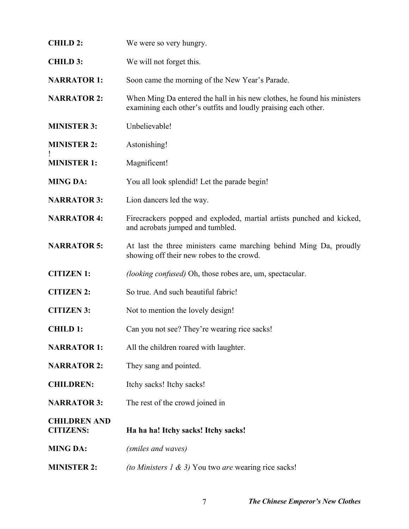| <b>CHILD 2:</b>                         | We were so very hungry.                                                                                                                    |
|-----------------------------------------|--------------------------------------------------------------------------------------------------------------------------------------------|
| <b>CHILD 3:</b>                         | We will not forget this.                                                                                                                   |
| <b>NARRATOR 1:</b>                      | Soon came the morning of the New Year's Parade.                                                                                            |
| <b>NARRATOR 2:</b>                      | When Ming Da entered the hall in his new clothes, he found his ministers<br>examining each other's outfits and loudly praising each other. |
| <b>MINISTER 3:</b>                      | Unbelievable!                                                                                                                              |
| <b>MINISTER 2:</b>                      | Astonishing!                                                                                                                               |
| <b>MINISTER 1:</b>                      | Magnificent!                                                                                                                               |
| <b>MING DA:</b>                         | You all look splendid! Let the parade begin!                                                                                               |
| <b>NARRATOR 3:</b>                      | Lion dancers led the way.                                                                                                                  |
| <b>NARRATOR 4:</b>                      | Firecrackers popped and exploded, martial artists punched and kicked,<br>and acrobats jumped and tumbled.                                  |
| <b>NARRATOR 5:</b>                      | At last the three ministers came marching behind Ming Da, proudly<br>showing off their new robes to the crowd.                             |
| <b>CITIZEN 1:</b>                       | <i>(looking confused)</i> Oh, those robes are, um, spectacular.                                                                            |
| <b>CITIZEN 2:</b>                       | So true. And such beautiful fabric!                                                                                                        |
| <b>CITIZEN 3:</b>                       | Not to mention the lovely design!                                                                                                          |
| <b>CHILD 1:</b>                         | Can you not see? They're wearing rice sacks!                                                                                               |
| <b>NARRATOR 1:</b>                      | All the children roared with laughter.                                                                                                     |
| <b>NARRATOR 2:</b>                      | They sang and pointed.                                                                                                                     |
| <b>CHILDREN:</b>                        | Itchy sacks! Itchy sacks!                                                                                                                  |
| <b>NARRATOR 3:</b>                      | The rest of the crowd joined in                                                                                                            |
| <b>CHILDREN AND</b><br><b>CITIZENS:</b> | Ha ha ha! Itchy sacks! Itchy sacks!                                                                                                        |
| <b>MING DA:</b>                         | (smiles and waves)                                                                                                                         |
| <b>MINISTER 2:</b>                      | <i>(to Ministers 1 &amp; 3)</i> You two <i>are</i> wearing rice sacks!                                                                     |